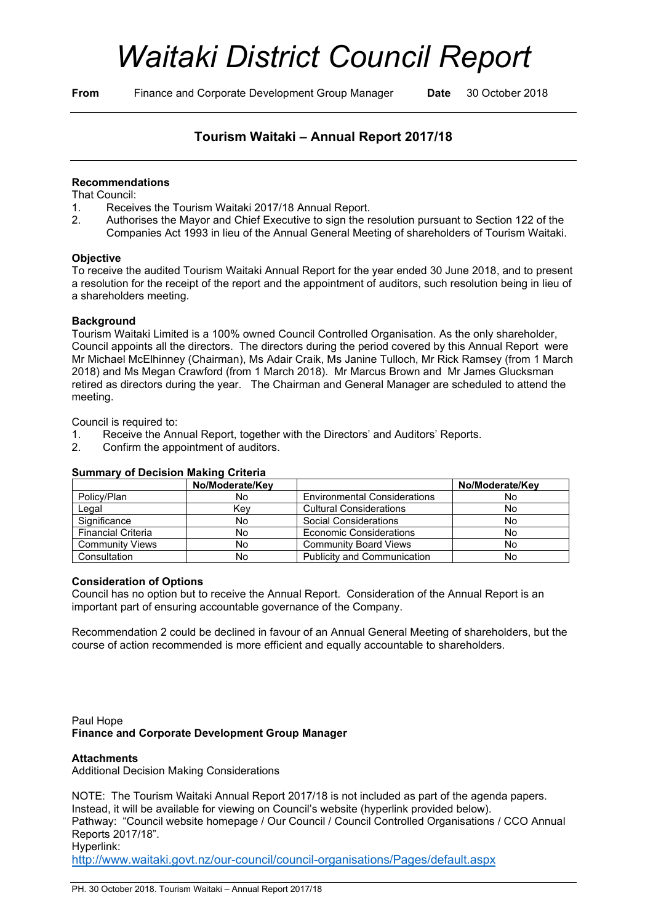# *Waitaki District Council Report*

**From** Finance and Corporate Development Group Manager **Date** 30 October 2018

# **Tourism Waitaki – Annual Report 2017/18**

# **Recommendations**

That Council:

- 1. Receives the Tourism Waitaki 2017/18 Annual Report.<br>2. Authorises the Mayor and Chief Executive to sign the re
- 2. Authorises the Mayor and Chief Executive to sign the resolution pursuant to Section 122 of the Companies Act 1993 in lieu of the Annual General Meeting of shareholders of Tourism Waitaki.

#### **Objective**

To receive the audited Tourism Waitaki Annual Report for the year ended 30 June 2018, and to present a resolution for the receipt of the report and the appointment of auditors, such resolution being in lieu of a shareholders meeting.

#### **Background**

Tourism Waitaki Limited is a 100% owned Council Controlled Organisation. As the only shareholder, Council appoints all the directors. The directors during the period covered by this Annual Report were Mr Michael McElhinney (Chairman), Ms Adair Craik, Ms Janine Tulloch, Mr Rick Ramsey (from 1 March 2018) and Ms Megan Crawford (from 1 March 2018). Mr Marcus Brown and Mr James Glucksman retired as directors during the year. The Chairman and General Manager are scheduled to attend the meeting.

Council is required to:

- 1. Receive the Annual Report, together with the Directors' and Auditors' Reports.
- 2. Confirm the appointment of auditors.

|                           | No/Moderate/Key |                                     | No/Moderate/Key |
|---------------------------|-----------------|-------------------------------------|-----------------|
| Policy/Plan               | No              | <b>Environmental Considerations</b> | No              |
| Legal                     | Kev             | <b>Cultural Considerations</b>      | No              |
| Significance              | No              | Social Considerations               | No              |
| <b>Financial Criteria</b> | No              | <b>Economic Considerations</b>      | No              |
| <b>Community Views</b>    | No              | <b>Community Board Views</b>        | No              |
| Consultation              | No              | <b>Publicity and Communication</b>  | No              |

# **Summary of Decision Making Criteria**

#### **Consideration of Options**

Council has no option but to receive the Annual Report. Consideration of the Annual Report is an important part of ensuring accountable governance of the Company.

Recommendation 2 could be declined in favour of an Annual General Meeting of shareholders, but the course of action recommended is more efficient and equally accountable to shareholders.

Paul Hope **Finance and Corporate Development Group Manager**

#### **Attachments**

Additional Decision Making Considerations

NOTE: The Tourism Waitaki Annual Report 2017/18 is not included as part of the agenda papers. Instead, it will be available for viewing on Council's website (hyperlink provided below). Pathway: "Council website homepage / Our Council / Council Controlled Organisations / CCO Annual Reports 2017/18". Hyperlink:

<http://www.waitaki.govt.nz/our-council/council-organisations/Pages/default.aspx>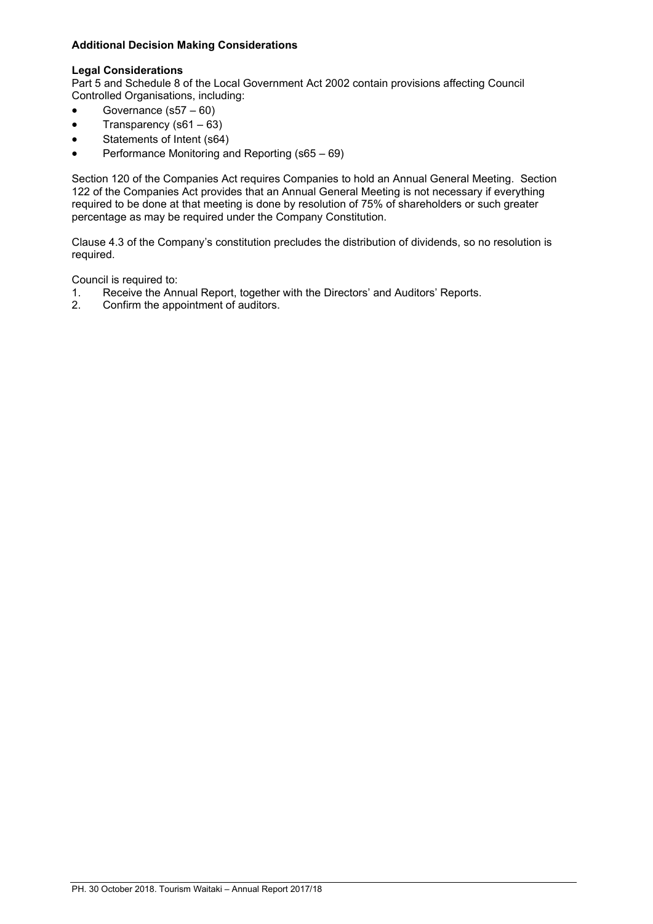# **Additional Decision Making Considerations**

#### **Legal Considerations**

Part 5 and Schedule 8 of the Local Government Act 2002 contain provisions affecting Council Controlled Organisations, including:

- Governance (s57 60)
- Transparency ( $s61 63$ )
- Statements of Intent (s64)
- Performance Monitoring and Reporting (s65 69)

Section 120 of the Companies Act requires Companies to hold an Annual General Meeting. Section 122 of the Companies Act provides that an Annual General Meeting is not necessary if everything required to be done at that meeting is done by resolution of 75% of shareholders or such greater percentage as may be required under the Company Constitution.

Clause 4.3 of the Company's constitution precludes the distribution of dividends, so no resolution is required.

Council is required to:

- 1. Receive the Annual Report, together with the Directors' and Auditors' Reports.<br>2. Confirm the appointment of auditors.
- 2. Confirm the appointment of auditors.